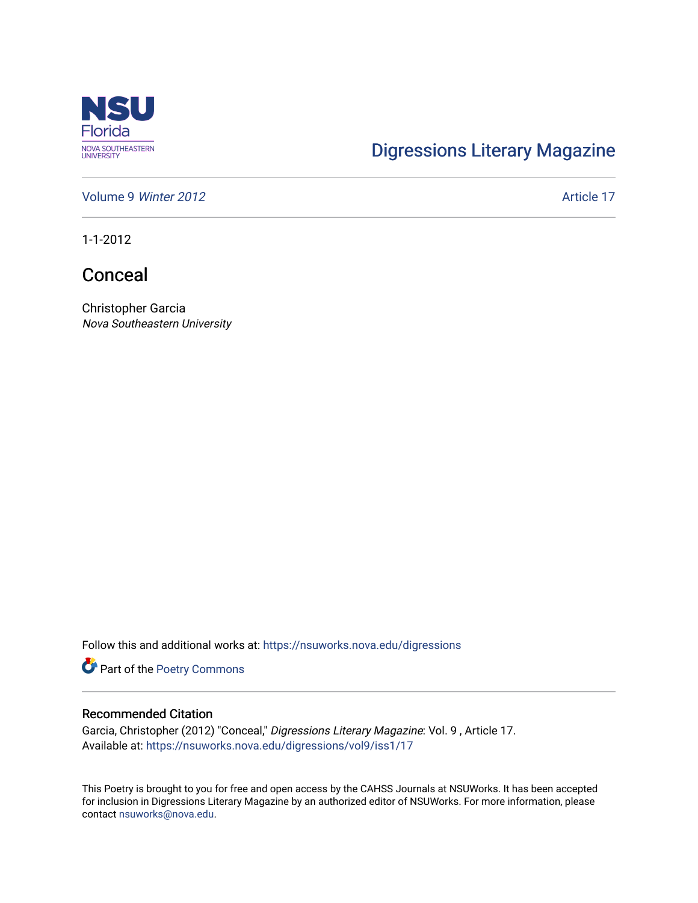

## [Digressions Literary Magazine](https://nsuworks.nova.edu/digressions)

[Volume 9](https://nsuworks.nova.edu/digressions/vol9) Winter 2012 **Article 17** Article 17

1-1-2012

Conceal

Christopher Garcia Nova Southeastern University

Follow this and additional works at: [https://nsuworks.nova.edu/digressions](https://nsuworks.nova.edu/digressions?utm_source=nsuworks.nova.edu%2Fdigressions%2Fvol9%2Fiss1%2F17&utm_medium=PDF&utm_campaign=PDFCoverPages) 

Part of the [Poetry Commons](http://network.bepress.com/hgg/discipline/1153?utm_source=nsuworks.nova.edu%2Fdigressions%2Fvol9%2Fiss1%2F17&utm_medium=PDF&utm_campaign=PDFCoverPages) 

## Recommended Citation

Garcia, Christopher (2012) "Conceal," Digressions Literary Magazine: Vol. 9 , Article 17. Available at: [https://nsuworks.nova.edu/digressions/vol9/iss1/17](https://nsuworks.nova.edu/digressions/vol9/iss1/17?utm_source=nsuworks.nova.edu%2Fdigressions%2Fvol9%2Fiss1%2F17&utm_medium=PDF&utm_campaign=PDFCoverPages) 

This Poetry is brought to you for free and open access by the CAHSS Journals at NSUWorks. It has been accepted for inclusion in Digressions Literary Magazine by an authorized editor of NSUWorks. For more information, please contact [nsuworks@nova.edu.](mailto:nsuworks@nova.edu)